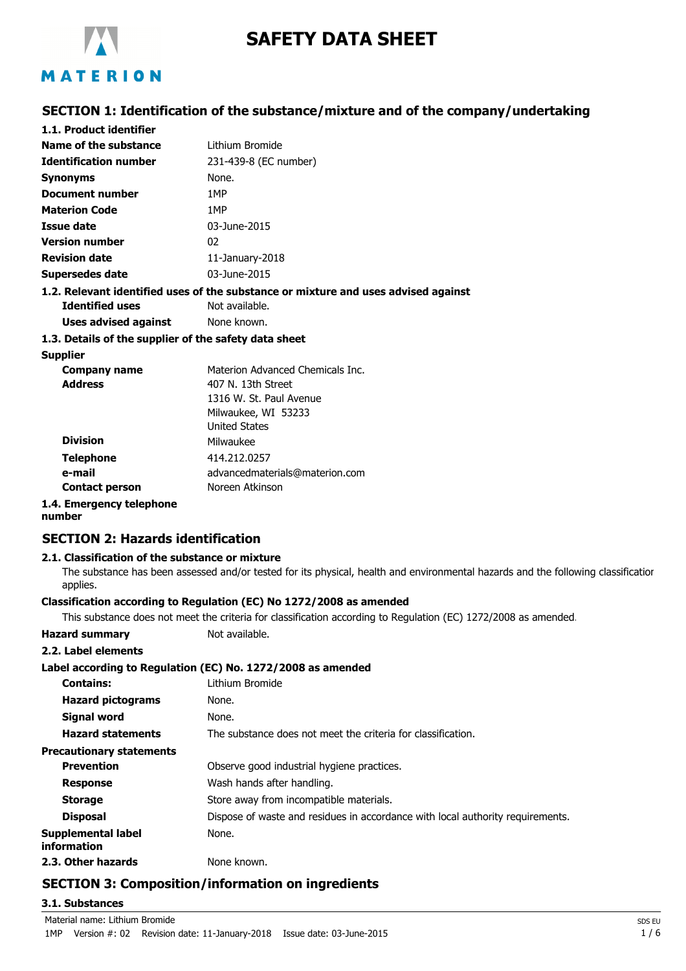

# **SAFETY DATA SHEET**

## **SECTION 1: Identification of the substance/mixture and of the company/undertaking**

| 1.1. Product identifier                               |                                                                                   |
|-------------------------------------------------------|-----------------------------------------------------------------------------------|
| <b>Name of the substance</b>                          | Lithium Bromide                                                                   |
| <b>Identification number</b>                          | 231-439-8 (EC number)                                                             |
| Synonyms                                              | None.                                                                             |
| <b>Document number</b>                                | 1MP                                                                               |
| <b>Materion Code</b>                                  | 1MP                                                                               |
| Issue date                                            | 03-June-2015                                                                      |
| <b>Version number</b>                                 | 02                                                                                |
| <b>Revision date</b>                                  | 11-January-2018                                                                   |
| <b>Supersedes date</b>                                | 03-June-2015                                                                      |
|                                                       | 1.2. Relevant identified uses of the substance or mixture and uses advised agains |
| <b>Identified uses</b>                                | Not available.                                                                    |
| Uses advised against                                  | None known.                                                                       |
| 1.3. Details of the supplier of the safety data sheet |                                                                                   |
| <b>Supplier</b>                                       |                                                                                   |
| <b>Company name</b>                                   | Materion Advanced Chemicals Inc.                                                  |
| <b>Address</b>                                        | 407 N. 13th Street                                                                |
|                                                       | 1316 W. St. Paul Avenue                                                           |
|                                                       | Milwaukee, WI 53233                                                               |
|                                                       | <b>United States</b>                                                              |
| Division                                              | Milwaukee                                                                         |

#### **1.2. Relevant identified uses of the substance or mixture and uses advised against**

| <b>Company name</b>      | Materion Advanced Chemicals Inc. |
|--------------------------|----------------------------------|
| <b>Address</b>           | 407 N. 13th Street               |
|                          | 1316 W. St. Paul Avenue          |
|                          | Milwaukee, WI 53233              |
|                          | <b>United States</b>             |
| <b>Division</b>          | Milwaukee                        |
| <b>Telephone</b>         | 414.212.0257                     |
| e-mail                   | advancedmaterials@materion.com   |
| <b>Contact person</b>    | Noreen Atkinson                  |
| 1.4. Emergency telephone |                                  |

#### **number**

### **SECTION 2: Hazards identification**

#### **2.1. Classification of the substance or mixture**

The substance has been assessed and/or tested for its physical, health and environmental hazards and the following classification applies.

#### **Classification according to Regulation (EC) No 1272/2008 as amended**

This substance does not meet the criteria for classification according to Regulation (EC) 1272/2008 as amended.

| <b>Hazard summary</b>             | Not available.                                                                 |  |  |
|-----------------------------------|--------------------------------------------------------------------------------|--|--|
| 2.2. Label elements               |                                                                                |  |  |
|                                   | Label according to Regulation (EC) No. 1272/2008 as amended                    |  |  |
| <b>Contains:</b>                  | Lithium Bromide                                                                |  |  |
| <b>Hazard pictograms</b>          | None.                                                                          |  |  |
| <b>Signal word</b>                | None.                                                                          |  |  |
| <b>Hazard statements</b>          | The substance does not meet the criteria for classification.                   |  |  |
| <b>Precautionary statements</b>   |                                                                                |  |  |
| <b>Prevention</b>                 | Observe good industrial hygiene practices.                                     |  |  |
| <b>Response</b>                   | Wash hands after handling.                                                     |  |  |
| <b>Storage</b>                    | Store away from incompatible materials.                                        |  |  |
| <b>Disposal</b>                   | Dispose of waste and residues in accordance with local authority requirements. |  |  |
| Supplemental label<br>information | None.                                                                          |  |  |
| 2.3. Other hazards                | None known.                                                                    |  |  |

### **SECTION 3: Composition/information on ingredients**

#### **3.1. Substances**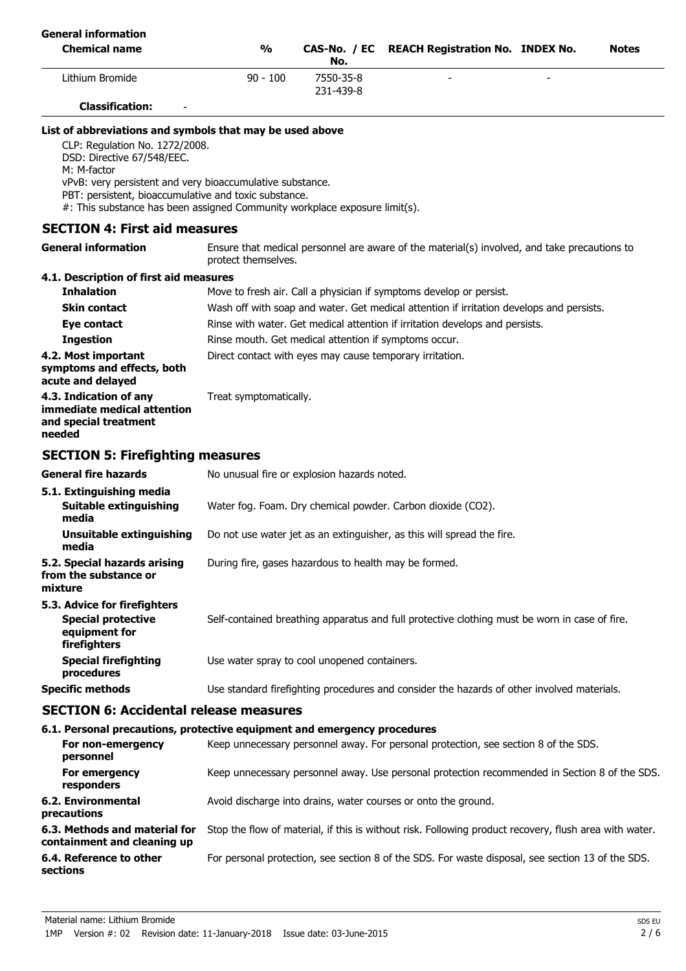| <b>General information</b>                                                                                                                                                                                                                                                                                                                  |                                                       |                                                          |                                                                                               |              |
|---------------------------------------------------------------------------------------------------------------------------------------------------------------------------------------------------------------------------------------------------------------------------------------------------------------------------------------------|-------------------------------------------------------|----------------------------------------------------------|-----------------------------------------------------------------------------------------------|--------------|
| <b>Chemical name</b>                                                                                                                                                                                                                                                                                                                        | $\frac{0}{0}$                                         | No.                                                      | CAS-No. / EC REACH Registration No. INDEX No.                                                 | <b>Notes</b> |
| Lithium Bromide                                                                                                                                                                                                                                                                                                                             | $90 - 100$                                            | 7550-35-8<br>231-439-8                                   |                                                                                               |              |
| <b>Classification:</b>                                                                                                                                                                                                                                                                                                                      |                                                       |                                                          |                                                                                               |              |
| List of abbreviations and symbols that may be used above<br>CLP: Regulation No. 1272/2008.<br>DSD: Directive 67/548/EEC.<br>M: M-factor<br>vPvB: very persistent and very bioaccumulative substance.<br>PBT: persistent, bioaccumulative and toxic substance.<br>#: This substance has been assigned Community workplace exposure limit(s). |                                                       |                                                          |                                                                                               |              |
| <b>SECTION 4: First aid measures</b>                                                                                                                                                                                                                                                                                                        |                                                       |                                                          |                                                                                               |              |
| <b>General information</b>                                                                                                                                                                                                                                                                                                                  | protect themselves.                                   |                                                          | Ensure that medical personnel are aware of the material(s) involved, and take precautions to  |              |
| 4.1. Description of first aid measures                                                                                                                                                                                                                                                                                                      |                                                       |                                                          |                                                                                               |              |
| <b>Inhalation</b>                                                                                                                                                                                                                                                                                                                           |                                                       |                                                          | Move to fresh air. Call a physician if symptoms develop or persist.                           |              |
| <b>Skin contact</b>                                                                                                                                                                                                                                                                                                                         |                                                       |                                                          | Wash off with soap and water. Get medical attention if irritation develops and persists.      |              |
| Eye contact                                                                                                                                                                                                                                                                                                                                 |                                                       |                                                          | Rinse with water. Get medical attention if irritation develops and persists.                  |              |
| <b>Ingestion</b>                                                                                                                                                                                                                                                                                                                            | Rinse mouth. Get medical attention if symptoms occur. |                                                          |                                                                                               |              |
| 4.2. Most important<br>symptoms and effects, both<br>acute and delayed                                                                                                                                                                                                                                                                      |                                                       | Direct contact with eyes may cause temporary irritation. |                                                                                               |              |
| 4.3. Indication of any<br>immediate medical attention<br>and special treatment<br>needed                                                                                                                                                                                                                                                    | Treat symptomatically.                                |                                                          |                                                                                               |              |
| <b>SECTION 5: Firefighting measures</b>                                                                                                                                                                                                                                                                                                     |                                                       |                                                          |                                                                                               |              |
| <b>General fire hazards</b>                                                                                                                                                                                                                                                                                                                 | No unusual fire or explosion hazards noted.           |                                                          |                                                                                               |              |
| 5.1. Extinguishing media                                                                                                                                                                                                                                                                                                                    |                                                       |                                                          |                                                                                               |              |
| Suitable extinguishing<br>media                                                                                                                                                                                                                                                                                                             |                                                       |                                                          | Water fog. Foam. Dry chemical powder. Carbon dioxide (CO2).                                   |              |
| <b>Unsuitable extinguishing</b><br>media                                                                                                                                                                                                                                                                                                    |                                                       |                                                          | Do not use water jet as an extinguisher, as this will spread the fire.                        |              |
| 5.2. Special hazards arising<br>from the substance or<br>mixture                                                                                                                                                                                                                                                                            | During fire, gases hazardous to health may be formed. |                                                          |                                                                                               |              |
| 5.3. Advice for firefighters<br><b>Special protective</b><br>equipment for<br>firefighters                                                                                                                                                                                                                                                  |                                                       |                                                          | Self-contained breathing apparatus and full protective clothing must be worn in case of fire. |              |
| <b>Special firefighting</b><br>procedures                                                                                                                                                                                                                                                                                                   | Use water spray to cool unopened containers.          |                                                          |                                                                                               |              |
| <b>Specific methods</b>                                                                                                                                                                                                                                                                                                                     |                                                       |                                                          | Use standard firefighting procedures and consider the hazards of other involved materials.    |              |
| <b>SECTION 6: Accidental release measures</b>                                                                                                                                                                                                                                                                                               |                                                       |                                                          |                                                                                               |              |
| 6.1. Personal precautions, protective equipment and emergency procedures                                                                                                                                                                                                                                                                    |                                                       |                                                          |                                                                                               |              |
| For non-emergency<br>personnel                                                                                                                                                                                                                                                                                                              |                                                       |                                                          | Keep unnecessary personnel away. For personal protection, see section 8 of the SDS.           |              |
| For emergency<br>responders                                                                                                                                                                                                                                                                                                                 |                                                       |                                                          | Keep unnecessary personnel away. Use personal protection recommended in Section 8 of the SDS. |              |
| 6.2. Environmental                                                                                                                                                                                                                                                                                                                          |                                                       |                                                          | Avoid discharge into drains, water courses or onto the ground.                                |              |

**precautions 6.3. Methods and material for** Stop the flow of material, if this is without risk. Following product recovery, flush area with water. **containment and cleaning up**

**6.4. Reference to other** For personal protection, see section 8 of the SDS. For waste disposal, see section 13 of the SDS. **sections**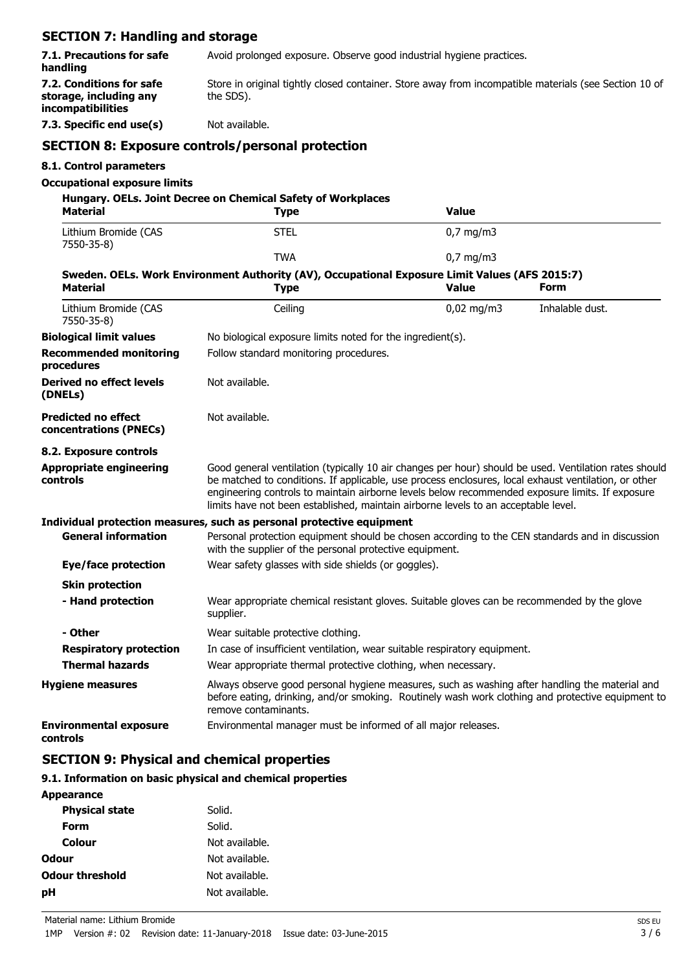# **SECTION 7: Handling and storage**

| 7.1. Precautions for safe<br>handling                                                                             | Avoid prolonged exposure. Observe good industrial hygiene practices.                                                                                                                                                        |                                                                                    |  |                    |                                                                                                                                                                                                                                                                                                                  |
|-------------------------------------------------------------------------------------------------------------------|-----------------------------------------------------------------------------------------------------------------------------------------------------------------------------------------------------------------------------|------------------------------------------------------------------------------------|--|--------------------|------------------------------------------------------------------------------------------------------------------------------------------------------------------------------------------------------------------------------------------------------------------------------------------------------------------|
| 7.2. Conditions for safe<br>storage, including any<br>incompatibilities                                           | Store in original tightly closed container. Store away from incompatible materials (see Section 10 of<br>the SDS).                                                                                                          |                                                                                    |  |                    |                                                                                                                                                                                                                                                                                                                  |
| 7.3. Specific end use(s)                                                                                          | Not available.                                                                                                                                                                                                              |                                                                                    |  |                    |                                                                                                                                                                                                                                                                                                                  |
| <b>SECTION 8: Exposure controls/personal protection</b>                                                           |                                                                                                                                                                                                                             |                                                                                    |  |                    |                                                                                                                                                                                                                                                                                                                  |
| 8.1. Control parameters                                                                                           |                                                                                                                                                                                                                             |                                                                                    |  |                    |                                                                                                                                                                                                                                                                                                                  |
| <b>Occupational exposure limits</b>                                                                               |                                                                                                                                                                                                                             |                                                                                    |  |                    |                                                                                                                                                                                                                                                                                                                  |
| Hungary. OELs. Joint Decree on Chemical Safety of Workplaces<br><b>Material</b>                                   |                                                                                                                                                                                                                             | <b>Type</b>                                                                        |  | <b>Value</b>       |                                                                                                                                                                                                                                                                                                                  |
| Lithium Bromide (CAS<br>7550-35-8)                                                                                |                                                                                                                                                                                                                             | <b>STEL</b>                                                                        |  | $0,7$ mg/m3        |                                                                                                                                                                                                                                                                                                                  |
|                                                                                                                   |                                                                                                                                                                                                                             | <b>TWA</b>                                                                         |  | $0,7 \text{ mg/m}$ |                                                                                                                                                                                                                                                                                                                  |
| Sweden. OELs. Work Environment Authority (AV), Occupational Exposure Limit Values (AFS 2015:7)<br><b>Material</b> |                                                                                                                                                                                                                             | <b>Type</b>                                                                        |  | <b>Value</b>       | <b>Form</b>                                                                                                                                                                                                                                                                                                      |
| Lithium Bromide (CAS<br>7550-35-8)                                                                                |                                                                                                                                                                                                                             | Ceiling                                                                            |  | $0,02$ mg/m3       | Inhalable dust.                                                                                                                                                                                                                                                                                                  |
| <b>Biological limit values</b>                                                                                    |                                                                                                                                                                                                                             | No biological exposure limits noted for the ingredient(s).                         |  |                    |                                                                                                                                                                                                                                                                                                                  |
| <b>Recommended monitoring</b><br>procedures                                                                       |                                                                                                                                                                                                                             | Follow standard monitoring procedures.                                             |  |                    |                                                                                                                                                                                                                                                                                                                  |
| <b>Derived no effect levels</b><br>(DNELs)                                                                        | Not available.                                                                                                                                                                                                              |                                                                                    |  |                    |                                                                                                                                                                                                                                                                                                                  |
| <b>Predicted no effect</b><br>concentrations (PNECs)                                                              | Not available.                                                                                                                                                                                                              |                                                                                    |  |                    |                                                                                                                                                                                                                                                                                                                  |
| 8.2. Exposure controls                                                                                            |                                                                                                                                                                                                                             |                                                                                    |  |                    |                                                                                                                                                                                                                                                                                                                  |
| <b>Appropriate engineering</b><br>controls                                                                        |                                                                                                                                                                                                                             | limits have not been established, maintain airborne levels to an acceptable level. |  |                    | Good general ventilation (typically 10 air changes per hour) should be used. Ventilation rates should<br>be matched to conditions. If applicable, use process enclosures, local exhaust ventilation, or other<br>engineering controls to maintain airborne levels below recommended exposure limits. If exposure |
| Individual protection measures, such as personal protective equipment                                             |                                                                                                                                                                                                                             |                                                                                    |  |                    |                                                                                                                                                                                                                                                                                                                  |
| <b>General information</b>                                                                                        |                                                                                                                                                                                                                             | with the supplier of the personal protective equipment.                            |  |                    | Personal protection equipment should be chosen according to the CEN standards and in discussion                                                                                                                                                                                                                  |
| <b>Eye/face protection</b>                                                                                        |                                                                                                                                                                                                                             | Wear safety glasses with side shields (or goggles).                                |  |                    |                                                                                                                                                                                                                                                                                                                  |
| <b>Skin protection</b>                                                                                            |                                                                                                                                                                                                                             |                                                                                    |  |                    |                                                                                                                                                                                                                                                                                                                  |
| - Hand protection                                                                                                 | supplier.                                                                                                                                                                                                                   |                                                                                    |  |                    | Wear appropriate chemical resistant gloves. Suitable gloves can be recommended by the glove                                                                                                                                                                                                                      |
| - Other                                                                                                           |                                                                                                                                                                                                                             | Wear suitable protective clothing.                                                 |  |                    |                                                                                                                                                                                                                                                                                                                  |
| <b>Respiratory protection</b>                                                                                     |                                                                                                                                                                                                                             | In case of insufficient ventilation, wear suitable respiratory equipment.          |  |                    |                                                                                                                                                                                                                                                                                                                  |
| <b>Thermal hazards</b>                                                                                            |                                                                                                                                                                                                                             | Wear appropriate thermal protective clothing, when necessary.                      |  |                    |                                                                                                                                                                                                                                                                                                                  |
| <b>Hygiene measures</b>                                                                                           | Always observe good personal hygiene measures, such as washing after handling the material and<br>before eating, drinking, and/or smoking. Routinely wash work clothing and protective equipment to<br>remove contaminants. |                                                                                    |  |                    |                                                                                                                                                                                                                                                                                                                  |
| <b>Environmental exposure</b><br>controls                                                                         |                                                                                                                                                                                                                             | Environmental manager must be informed of all major releases.                      |  |                    |                                                                                                                                                                                                                                                                                                                  |

# **SECTION 9: Physical and chemical properties**

### **9.1. Information on basic physical and chemical properties**

| <b>Appearance</b>      |                |
|------------------------|----------------|
| <b>Physical state</b>  | Solid.         |
| Form                   | Solid.         |
| Colour                 | Not available. |
| Odour                  | Not available. |
| <b>Odour threshold</b> | Not available. |
| рH                     | Not available. |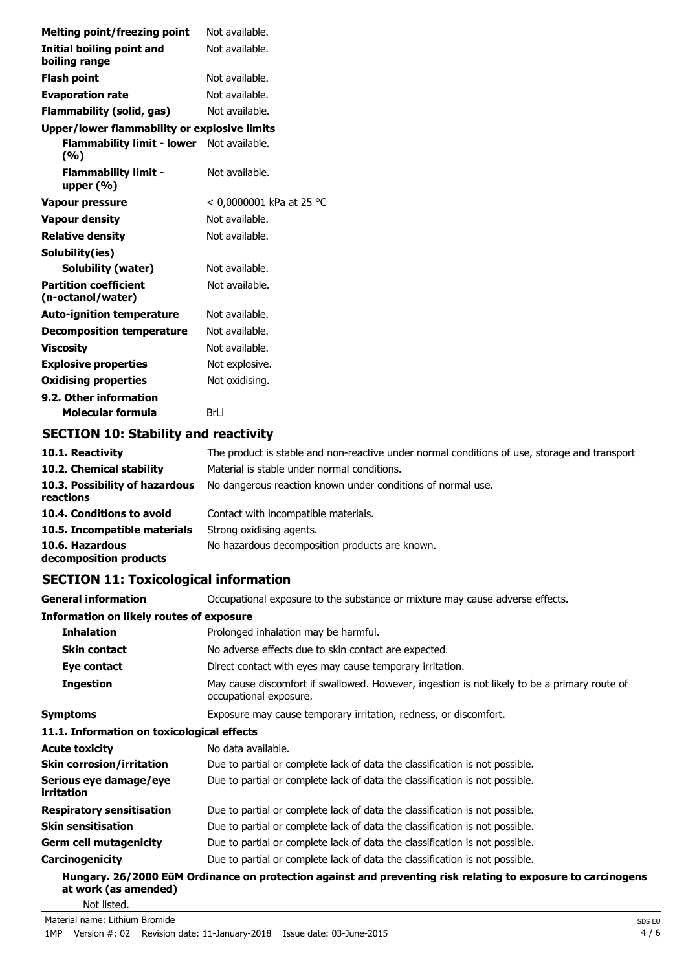| <b>Melting point/freezing point</b>               | Not available.           |
|---------------------------------------------------|--------------------------|
| <b>Initial boiling point and</b><br>boiling range | Not available.           |
| <b>Flash point</b>                                | Not available.           |
| <b>Evaporation rate</b>                           | Not available.           |
| <b>Flammability (solid, gas)</b>                  | Not available.           |
| Upper/lower flammability or explosive limits      |                          |
| Flammability limit - lower<br>(%)                 | Not available.           |
| <b>Flammability limit -</b><br>upper $(% )$       | Not available.           |
| <b>Vapour pressure</b>                            | < 0,0000001 kPa at 25 °C |
| <b>Vapour density</b>                             | Not available.           |
| <b>Relative density</b>                           | Not available.           |
| Solubility(ies)                                   |                          |
| Solubility (water)                                | Not available.           |
| <b>Partition coefficient</b><br>(n-octanol/water) | Not available.           |
| <b>Auto-ignition temperature</b>                  | Not available.           |
| <b>Decomposition temperature</b>                  | Not available.           |
| <b>Viscosity</b>                                  | Not available.           |
| <b>Explosive properties</b>                       | Not explosive.           |
| <b>Oxidising properties</b>                       | Not oxidising.           |
| 9.2. Other information                            |                          |
| Molecular formula                                 | BrLi                     |

# **SECTION 10: Stability and reactivity**

| 10.1. Reactivity                            | The product is stable and non-reactive under normal conditions of use, storage and transport. |
|---------------------------------------------|-----------------------------------------------------------------------------------------------|
| 10.2. Chemical stability                    | Material is stable under normal conditions.                                                   |
| 10.3. Possibility of hazardous<br>reactions | No dangerous reaction known under conditions of normal use.                                   |
| 10.4. Conditions to avoid                   | Contact with incompatible materials.                                                          |
| 10.5. Incompatible materials                | Strong oxidising agents.                                                                      |
| 10.6. Hazardous<br>decomposition products   | No hazardous decomposition products are known.                                                |

# **SECTION 11: Toxicological information**

| <b>General information</b>                      | Occupational exposure to the substance or mixture may cause adverse effects.                                           |
|-------------------------------------------------|------------------------------------------------------------------------------------------------------------------------|
| <b>Information on likely routes of exposure</b> |                                                                                                                        |
| <b>Inhalation</b>                               | Prolonged inhalation may be harmful.                                                                                   |
| <b>Skin contact</b>                             | No adverse effects due to skin contact are expected.                                                                   |
| Eye contact                                     | Direct contact with eyes may cause temporary irritation.                                                               |
| <b>Ingestion</b>                                | May cause discomfort if swallowed. However, ingestion is not likely to be a primary route of<br>occupational exposure. |
| <b>Symptoms</b>                                 | Exposure may cause temporary irritation, redness, or discomfort.                                                       |
| 11.1. Information on toxicological effects      |                                                                                                                        |
| <b>Acute toxicity</b>                           | No data available.                                                                                                     |
| <b>Skin corrosion/irritation</b>                | Due to partial or complete lack of data the classification is not possible.                                            |
| Serious eye damage/eye<br>irritation            | Due to partial or complete lack of data the classification is not possible.                                            |
| <b>Respiratory sensitisation</b>                | Due to partial or complete lack of data the classification is not possible.                                            |
| <b>Skin sensitisation</b>                       | Due to partial or complete lack of data the classification is not possible.                                            |
| <b>Germ cell mutagenicity</b>                   | Due to partial or complete lack of data the classification is not possible.                                            |
| Carcinogenicity                                 | Due to partial or complete lack of data the classification is not possible.                                            |
| at work (as amended)                            | Hungary. 26/2000 EüM Ordinance on protection against and preventing risk relating to exposure to carcinogens           |
| Not listed.                                     |                                                                                                                        |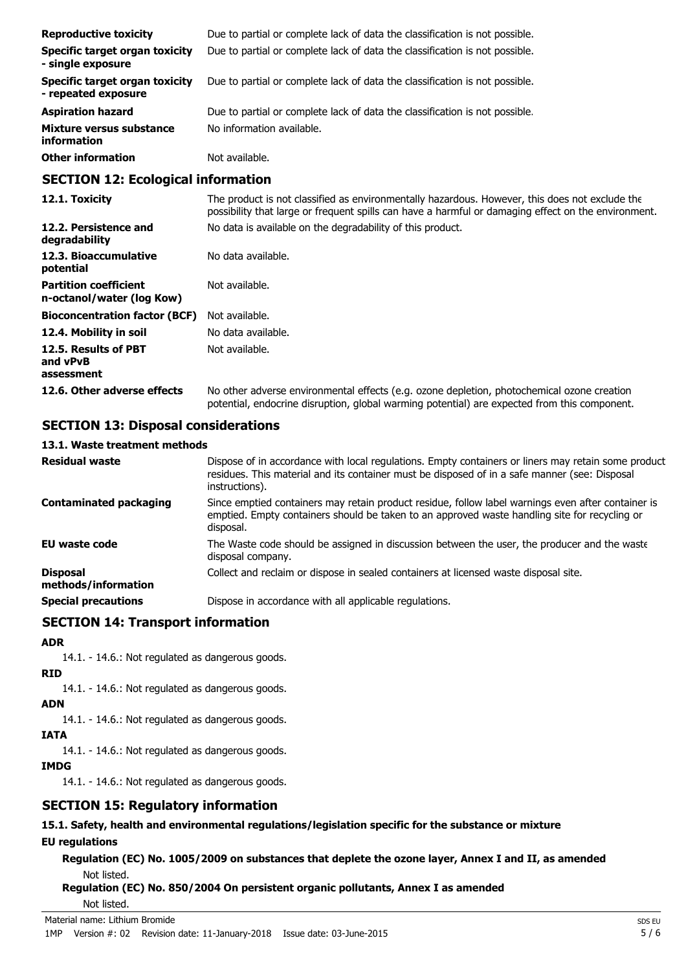| <b>Reproductive toxicity</b>                          | Due to partial or complete lack of data the classification is not possible. |
|-------------------------------------------------------|-----------------------------------------------------------------------------|
| Specific target organ toxicity<br>- single exposure   | Due to partial or complete lack of data the classification is not possible. |
| Specific target organ toxicity<br>- repeated exposure | Due to partial or complete lack of data the classification is not possible. |
| <b>Aspiration hazard</b>                              | Due to partial or complete lack of data the classification is not possible. |
| Mixture versus substance<br>information               | No information available.                                                   |
| <b>Other information</b>                              | Not available.                                                              |

#### **SECTION 12: Ecological information**

| 12.1. Toxicity                                            | The product is not classified as environmentally hazardous. However, this does not exclude the<br>possibility that large or frequent spills can have a harmful or damaging effect on the environment. |
|-----------------------------------------------------------|-------------------------------------------------------------------------------------------------------------------------------------------------------------------------------------------------------|
| 12.2. Persistence and<br>degradability                    | No data is available on the degradability of this product.                                                                                                                                            |
| 12.3. Bioaccumulative<br>potential                        | No data available.                                                                                                                                                                                    |
| <b>Partition coefficient</b><br>n-octanol/water (log Kow) | Not available.                                                                                                                                                                                        |
| <b>Bioconcentration factor (BCF)</b>                      | Not available.                                                                                                                                                                                        |
| 12.4. Mobility in soil                                    | No data available.                                                                                                                                                                                    |
| 12.5. Results of PBT<br>and vPvB<br>assessment            | Not available.                                                                                                                                                                                        |
| 12.6. Other adverse effects                               | No other adverse environmental effects (e.g. ozone depletion, photochemical ozone creation<br>potential, endocrine disruption, global warming potential) are expected from this component.            |

### **SECTION 13: Disposal considerations**

#### **13.1. Waste treatment methods**

| <b>Residual waste</b>                  | Dispose of in accordance with local regulations. Empty containers or liners may retain some product<br>residues. This material and its container must be disposed of in a safe manner (see: Disposal<br>instructions). |
|----------------------------------------|------------------------------------------------------------------------------------------------------------------------------------------------------------------------------------------------------------------------|
| <b>Contaminated packaging</b>          | Since emptied containers may retain product residue, follow label warnings even after container is<br>emptied. Empty containers should be taken to an approved waste handling site for recycling or<br>disposal.       |
| <b>EU waste code</b>                   | The Waste code should be assigned in discussion between the user, the producer and the waste<br>disposal company.                                                                                                      |
| <b>Disposal</b><br>methods/information | Collect and reclaim or dispose in sealed containers at licensed waste disposal site.                                                                                                                                   |
| <b>Special precautions</b>             | Dispose in accordance with all applicable regulations.                                                                                                                                                                 |

### **SECTION 14: Transport information**

#### **ADR**

14.1. - 14.6.: Not regulated as dangerous goods.

### **RID**

14.1. - 14.6.: Not regulated as dangerous goods.

### **ADN**

14.1. - 14.6.: Not regulated as dangerous goods.

### **IATA**

14.1. - 14.6.: Not regulated as dangerous goods.

### **IMDG**

14.1. - 14.6.: Not regulated as dangerous goods.

# **SECTION 15: Regulatory information**

# **15.1. Safety, health and environmental regulations/legislation specific for the substance or mixture**

### **EU regulations**

**Regulation (EC) No. 1005/2009 on substances that deplete the ozone layer, Annex I and II, as amended** Not listed.

# **Regulation (EC) No. 850/2004 On persistent organic pollutants, Annex I as amended**

Not listed.